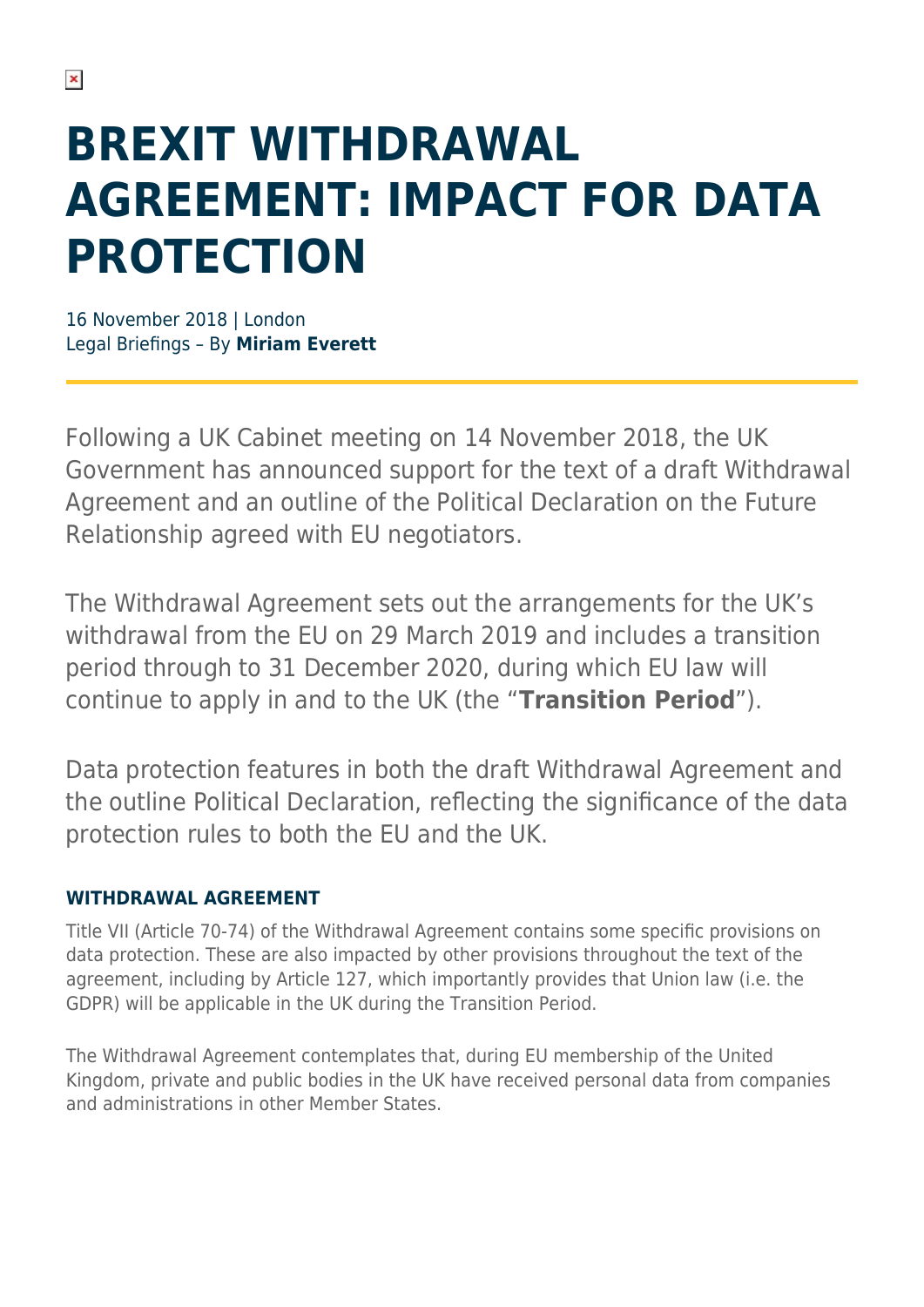# **BREXIT WITHDRAWAL AGREEMENT: IMPACT FOR DATA PROTECTION**

16 November 2018 | London Legal Briefings – By **Miriam Everett**

Following a UK Cabinet meeting on 14 November 2018, the UK Government has announced support for the text of a draft Withdrawal Agreement and an outline of the Political Declaration on the Future Relationship agreed with EU negotiators.

The Withdrawal Agreement sets out the arrangements for the UK's withdrawal from the EU on 29 March 2019 and includes a transition period through to 31 December 2020, during which EU law will continue to apply in and to the UK (the "**Transition Period**").

Data protection features in both the draft Withdrawal Agreement and the outline Political Declaration, reflecting the significance of the data protection rules to both the EU and the UK.

#### **WITHDRAWAL AGREEMENT**

Title VII (Article 70-74) of the Withdrawal Agreement contains some specific provisions on data protection. These are also impacted by other provisions throughout the text of the agreement, including by Article 127, which importantly provides that Union law (i.e. the GDPR) will be applicable in the UK during the Transition Period.

The Withdrawal Agreement contemplates that, during EU membership of the United Kingdom, private and public bodies in the UK have received personal data from companies and administrations in other Member States.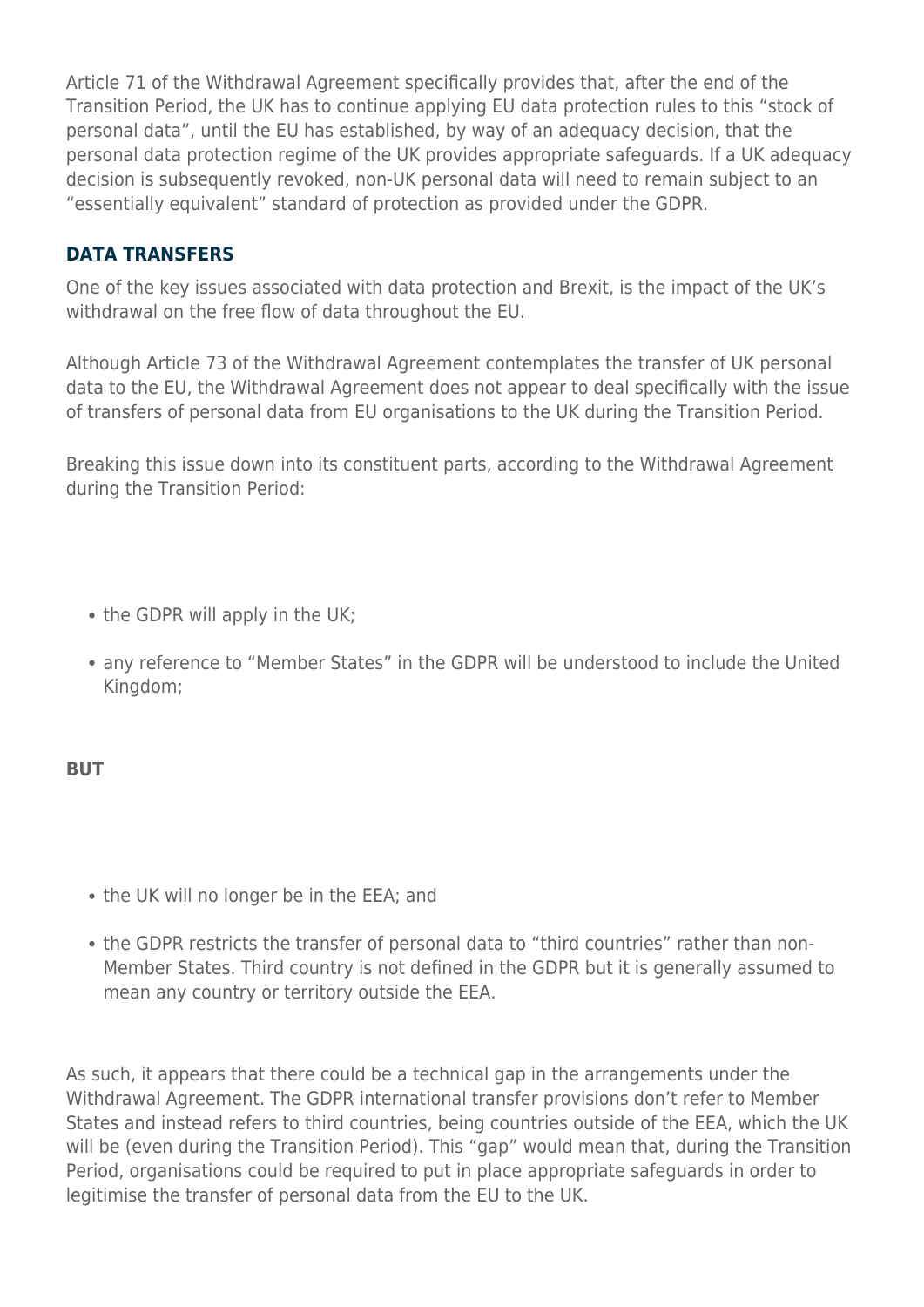Article 71 of the Withdrawal Agreement specifically provides that, after the end of the Transition Period, the UK has to continue applying EU data protection rules to this "stock of personal data", until the EU has established, by way of an adequacy decision, that the personal data protection regime of the UK provides appropriate safeguards. If a UK adequacy decision is subsequently revoked, non-UK personal data will need to remain subject to an "essentially equivalent" standard of protection as provided under the GDPR.

#### **DATA TRANSFERS**

One of the key issues associated with data protection and Brexit, is the impact of the UK's withdrawal on the free flow of data throughout the EU.

Although Article 73 of the Withdrawal Agreement contemplates the transfer of UK personal data to the EU, the Withdrawal Agreement does not appear to deal specifically with the issue of transfers of personal data from EU organisations to the UK during the Transition Period.

Breaking this issue down into its constituent parts, according to the Withdrawal Agreement during the Transition Period:

- the GDPR will apply in the UK;
- any reference to "Member States" in the GDPR will be understood to include the United Kingdom;

#### **BUT**

- the UK will no longer be in the EEA; and
- the GDPR restricts the transfer of personal data to "third countries" rather than non-Member States. Third country is not defined in the GDPR but it is generally assumed to mean any country or territory outside the EEA.

As such, it appears that there could be a technical gap in the arrangements under the Withdrawal Agreement. The GDPR international transfer provisions don't refer to Member States and instead refers to third countries, being countries outside of the EEA, which the UK will be (even during the Transition Period). This "gap" would mean that, during the Transition Period, organisations could be required to put in place appropriate safeguards in order to legitimise the transfer of personal data from the EU to the UK.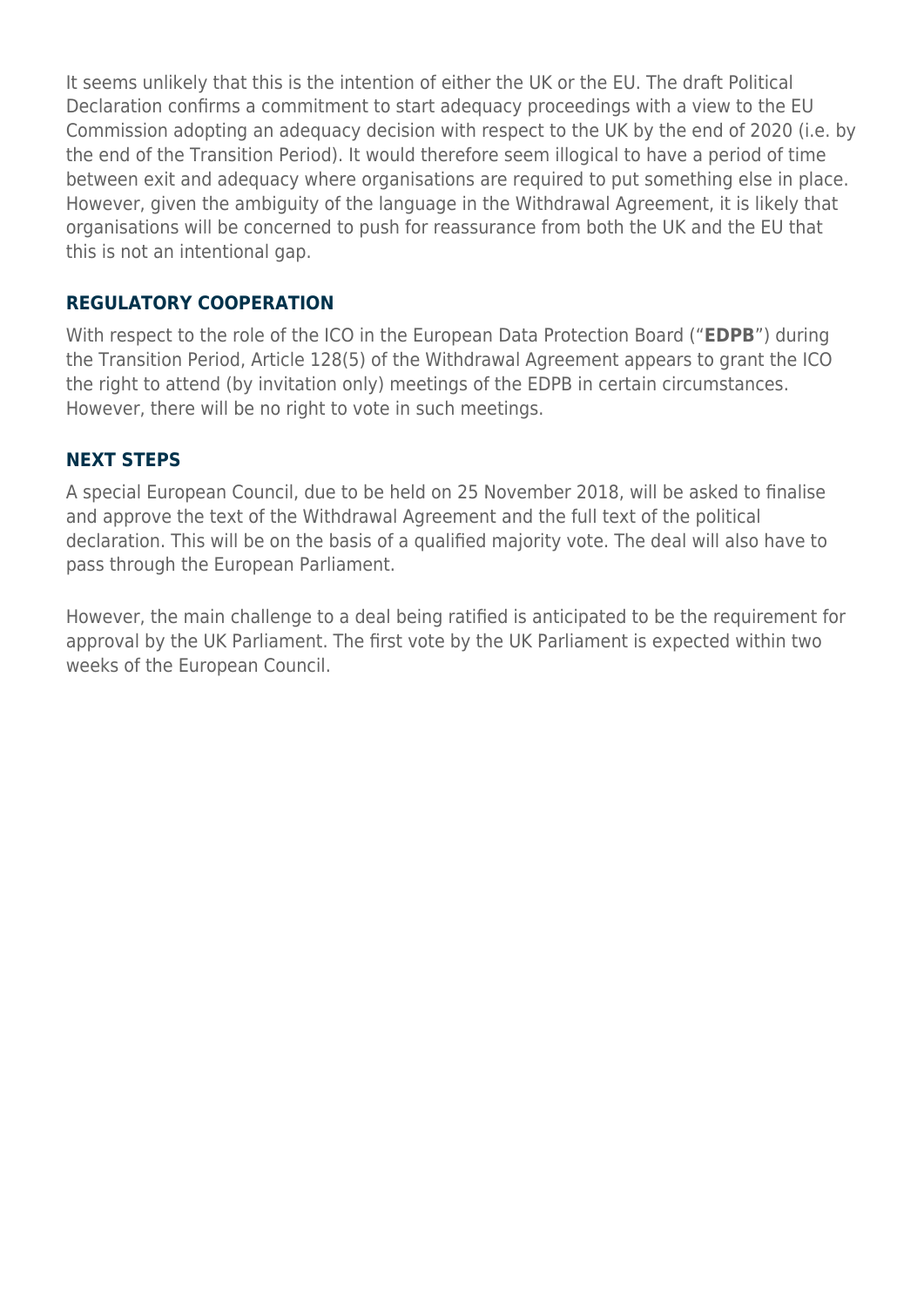It seems unlikely that this is the intention of either the UK or the EU. The draft Political Declaration confirms a commitment to start adequacy proceedings with a view to the EU Commission adopting an adequacy decision with respect to the UK by the end of 2020 (i.e. by the end of the Transition Period). It would therefore seem illogical to have a period of time between exit and adequacy where organisations are required to put something else in place. However, given the ambiguity of the language in the Withdrawal Agreement, it is likely that organisations will be concerned to push for reassurance from both the UK and the EU that this is not an intentional gap.

#### **REGULATORY COOPERATION**

With respect to the role of the ICO in the European Data Protection Board ("**EDPB**") during the Transition Period, Article 128(5) of the Withdrawal Agreement appears to grant the ICO the right to attend (by invitation only) meetings of the EDPB in certain circumstances. However, there will be no right to vote in such meetings.

### **NEXT STEPS**

A special European Council, due to be held on 25 November 2018, will be asked to finalise and approve the text of the Withdrawal Agreement and the full text of the political declaration. This will be on the basis of a qualified majority vote. The deal will also have to pass through the European Parliament.

However, the main challenge to a deal being ratified is anticipated to be the requirement for approval by the UK Parliament. The first vote by the UK Parliament is expected within two weeks of the European Council.